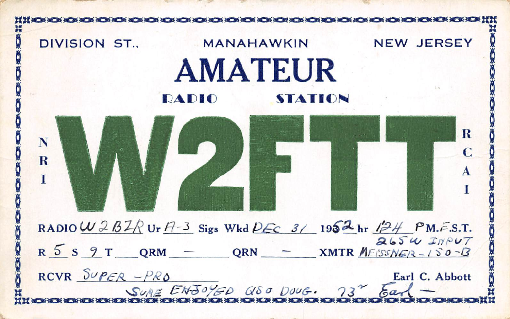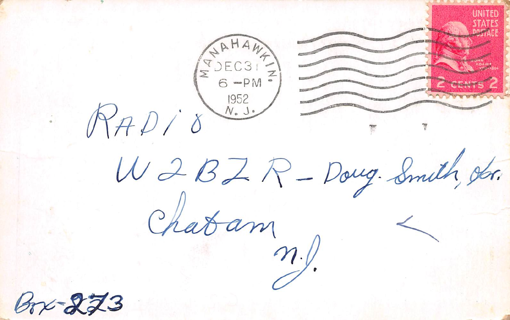EDEC3 RAD W 2 BZ R - Doug. Smith, obr.  $rac{1}{\alpha}$  chabam  $3723$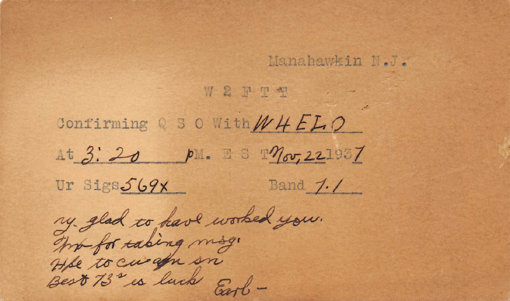## Manahawkin N.J.

W2 FT T Confirming Q S O With  $WHELO$ At 3:20 pm. ESTMov, 221937 Ur Sigs569x  $Band 7.7$ ny glad to have worked you.<br>The to curafu sn .<br>He to curafu sn .<br>Best 73" is luck Earl -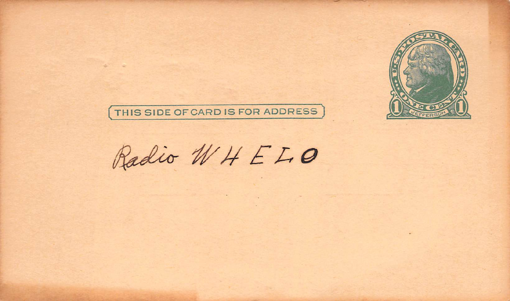

 $\sim$ 

THIS SIDE OF CARD IS FOR ADDRESS

Radio WHELO